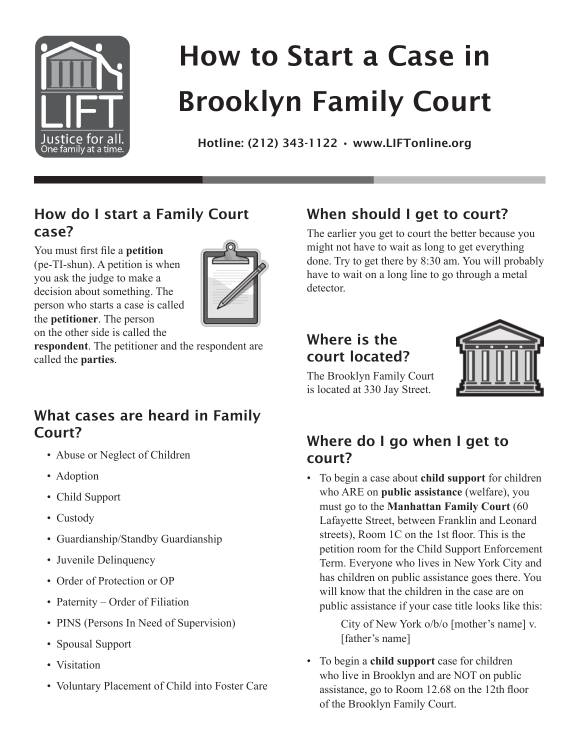

# How to Start a Case in Brooklyn Family Court

Hotline: (212) 343-1122 • www.LIFTonline.org

#### **How do I start a Family Court case?**

You must first file a **petition** (pe-TI-shun). A petition is when you ask the judge to make a decision about something. The person who starts a case is called the **petitioner**. The person on the other side is called the



**respondent**. The petitioner and the respondent are called the **parties**.

#### **What cases are heard in Family Court?**

- Abuse or Neglect of Children
- Adoption
- Child Support
- Custody
- Guardianship/Standby Guardianship
- Juvenile Delinquency
- Order of Protection or OP
- Paternity Order of Filiation
- PINS (Persons In Need of Supervision)
- Spousal Support
- Visitation
- Voluntary Placement of Child into Foster Care

## **When should I get to court?**

The earlier you get to court the better because you might not have to wait as long to get everything done. Try to get there by 8:30 am. You will probably have to wait on a long line to go through a metal detector.

#### **Where is the court located?**



The Brooklyn Family Court is located at 330 Jay Street.

## **Where do I go when I get to court?**

• To begin a case about **child support** for children who ARE on **public assistance** (welfare), you must go to the **Manhattan Family Court** (60 Lafayette Street, between Franklin and Leonard streets), Room 1C on the 1st floor. This is the petition room for the Child Support Enforcement Term. Everyone who lives in New York City and has children on public assistance goes there. You will know that the children in the case are on public assistance if your case title looks like this:

> City of New York o/b/o [mother's name] v. [father's name]

• To begin a **child support** case for children who live in Brooklyn and are NOT on public assistance, go to Room 12.68 on the 12th floor of the Brooklyn Family Court.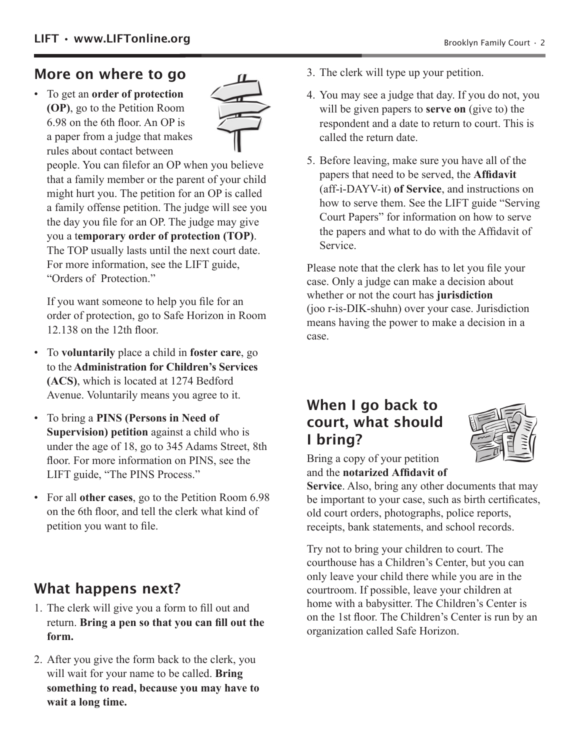#### **More on where to go**

• To get an **order of protection (OP)**, go to the Petition Room 6.98 on the 6th floor. An OP is a paper from a judge that makes rules about contact between



people. You can filefor an OP when you believe that a family member or the parent of your child might hurt you. The petition for an OP is called a family offense petition. The judge will see you the day you file for an OP. The judge may give you a t**emporary order of protection (TOP)**. The TOP usually lasts until the next court date. For more information, see the LIFT guide, "Orders of Protection."

If you want someone to help you file for an order of protection, go to Safe Horizon in Room 12.138 on the 12th floor.

- To **voluntarily** place a child in **foster care**, go to the **Administration for Children's Services (ACS)**, which is located at 1274 Bedford Avenue. Voluntarily means you agree to it.
- To bring a **PINS (Persons in Need of Supervision) petition** against a child who is under the age of 18, go to 345 Adams Street, 8th floor. For more information on PINS, see the LIFT guide, "The PINS Process."
- For all **other cases**, go to the Petition Room 6.98 on the 6th floor, and tell the clerk what kind of petition you want to file.

## **What happens next?**

- 1. The clerk will give you a form to fill out and return. **Bring a pen so that you can fill out the form.**
- 2. After you give the form back to the clerk, you will wait for your name to be called. **Bring something to read, because you may have to wait a long time.**
- 3. The clerk will type up your petition.
- 4. You may see a judge that day. If you do not, you will be given papers to **serve on** (give to) the respondent and a date to return to court. This is called the return date.
- 5. Before leaving, make sure you have all of the papers that need to be served, the **Affidavit** (aff-i-DAYV-it) **of Service**, and instructions on how to serve them. See the LIFT guide "Serving Court Papers" for information on how to serve the papers and what to do with the Affidavit of Service.

Please note that the clerk has to let you file your case. Only a judge can make a decision about whether or not the court has **jurisdiction** (joo r-is-DIK-shuhn) over your case. Jurisdiction means having the power to make a decision in a case.

#### **When I go back to court, what should I bring?**



Bring a copy of your petition and the **notarized Affidavit of** 

**Service**. Also, bring any other documents that may be important to your case, such as birth certificates, old court orders, photographs, police reports, receipts, bank statements, and school records.

Try not to bring your children to court. The courthouse has a Children's Center, but you can only leave your child there while you are in the courtroom. If possible, leave your children at home with a babysitter. The Children's Center is on the 1st floor. The Children's Center is run by an organization called Safe Horizon.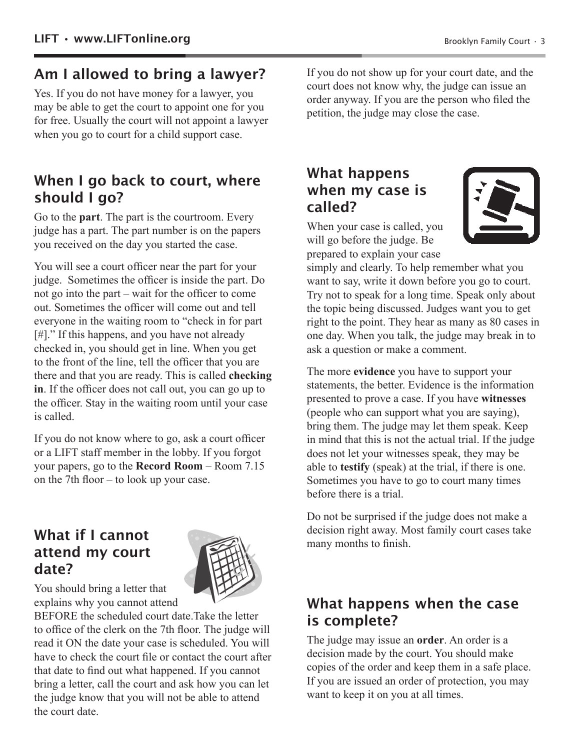#### **Am I allowed to bring a lawyer?**

Yes. If you do not have money for a lawyer, you may be able to get the court to appoint one for you for free. Usually the court will not appoint a lawyer when you go to court for a child support case.

#### **When I go back to court, where should I go?**

Go to the **part**. The part is the courtroom. Every judge has a part. The part number is on the papers you received on the day you started the case.

You will see a court officer near the part for your judge. Sometimes the officer is inside the part. Do not go into the part – wait for the officer to come out. Sometimes the officer will come out and tell everyone in the waiting room to "check in for part [#]." If this happens, and you have not already checked in, you should get in line. When you get to the front of the line, tell the officer that you are there and that you are ready. This is called **checking in**. If the officer does not call out, you can go up to the officer. Stay in the waiting room until your case is called.

If you do not know where to go, ask a court officer or a LIFT staff member in the lobby. If you forgot your papers, go to the **Record Room** – Room 7.15 on the 7th floor – to look up your case.

#### **What if I cannot attend my court date?**



You should bring a letter that explains why you cannot attend

BEFORE the scheduled court date.Take the letter to office of the clerk on the 7th floor. The judge will read it ON the date your case is scheduled. You will have to check the court file or contact the court after that date to find out what happened. If you cannot bring a letter, call the court and ask how you can let the judge know that you will not be able to attend the court date.

If you do not show up for your court date, and the court does not know why, the judge can issue an order anyway. If you are the person who filed the petition, the judge may close the case.

#### **What happens when my case is called?**

When your case is called, you will go before the judge. Be prepared to explain your case



simply and clearly. To help remember what you want to say, write it down before you go to court. Try not to speak for a long time. Speak only about the topic being discussed. Judges want you to get right to the point. They hear as many as 80 cases in one day. When you talk, the judge may break in to ask a question or make a comment.

The more **evidence** you have to support your statements, the better. Evidence is the information presented to prove a case. If you have **witnesses** (people who can support what you are saying), bring them. The judge may let them speak. Keep in mind that this is not the actual trial. If the judge does not let your witnesses speak, they may be able to **testify** (speak) at the trial, if there is one. Sometimes you have to go to court many times before there is a trial.

Do not be surprised if the judge does not make a decision right away. Most family court cases take many months to finish.

#### **What happens when the case is complete?**

The judge may issue an **order**. An order is a decision made by the court. You should make copies of the order and keep them in a safe place. If you are issued an order of protection, you may want to keep it on you at all times.